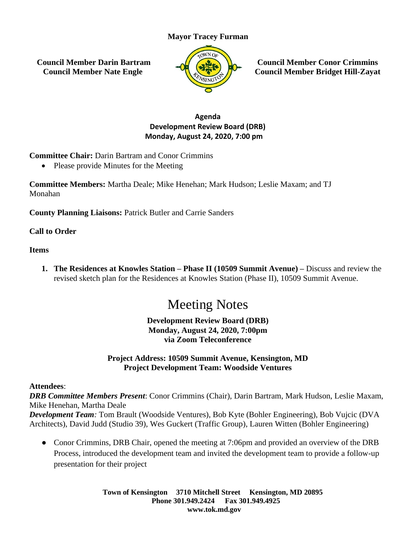# **Mayor Tracey Furman**

**Council Member Darin Bartram Council Member Nate Engle**



**Council Member Conor Crimmins Council Member Bridget Hill-Zayat**

# **Agenda Development Review Board (DRB) Monday, August 24, 2020, 7:00 pm**

**Committee Chair:** Darin Bartram and Conor Crimmins

• Please provide Minutes for the Meeting

**Committee Members:** Martha Deale; Mike Henehan; Mark Hudson; Leslie Maxam; and TJ Monahan

**County Planning Liaisons:** Patrick Butler and Carrie Sanders

## **Call to Order**

## **Items**

**1. The Residences at Knowles Station – Phase II (10509 Summit Avenue) –** Discuss and review the revised sketch plan for the Residences at Knowles Station (Phase II), 10509 Summit Avenue.

# Meeting Notes

## **Development Review Board (DRB) Monday, August 24, 2020, 7:00pm via Zoom Teleconference**

# **Project Address: 10509 Summit Avenue, Kensington, MD Project Development Team: Woodside Ventures**

## **Attendees**:

*DRB Committee Members Present*: Conor Crimmins (Chair), Darin Bartram, Mark Hudson, Leslie Maxam, Mike Henehan, Martha Deale

*Development Team:* Tom Brault (Woodside Ventures), Bob Kyte (Bohler Engineering), Bob Vujcic (DVA Architects), David Judd (Studio 39), Wes Guckert (Traffic Group), Lauren Witten (Bohler Engineering)

• Conor Crimmins, DRB Chair, opened the meeting at 7:06pm and provided an overview of the DRB Process, introduced the development team and invited the development team to provide a follow-up presentation for their project

> **Town of Kensington 3710 Mitchell Street Kensington, MD 20895 Phone 301.949.2424 Fax 301.949.4925 www.tok.md.gov**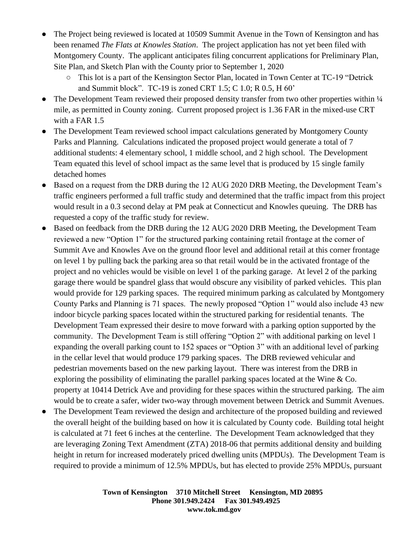- The Project being reviewed is located at 10509 Summit Avenue in the Town of Kensington and has been renamed *The Flats at Knowles Station*. The project application has not yet been filed with Montgomery County. The applicant anticipates filing concurrent applications for Preliminary Plan, Site Plan, and Sketch Plan with the County prior to September 1, 2020
	- This lot is a part of the Kensington Sector Plan, located in Town Center at TC-19 "Detrick and Summit block". TC-19 is zoned CRT 1.5; C 1.0; R 0.5, H 60'
- The Development Team reviewed their proposed density transfer from two other properties within  $\frac{1}{4}$ mile, as permitted in County zoning. Current proposed project is 1.36 FAR in the mixed-use CRT with a FAR 1.5
- The Development Team reviewed school impact calculations generated by Montgomery County Parks and Planning. Calculations indicated the proposed project would generate a total of 7 additional students: 4 elementary school, 1 middle school, and 2 high school. The Development Team equated this level of school impact as the same level that is produced by 15 single family detached homes
- Based on a request from the DRB during the 12 AUG 2020 DRB Meeting, the Development Team's traffic engineers performed a full traffic study and determined that the traffic impact from this project would result in a 0.3 second delay at PM peak at Connecticut and Knowles queuing. The DRB has requested a copy of the traffic study for review.
- Based on feedback from the DRB during the 12 AUG 2020 DRB Meeting, the Development Team reviewed a new "Option 1" for the structured parking containing retail frontage at the corner of Summit Ave and Knowles Ave on the ground floor level and additional retail at this corner frontage on level 1 by pulling back the parking area so that retail would be in the activated frontage of the project and no vehicles would be visible on level 1 of the parking garage. At level 2 of the parking garage there would be spandrel glass that would obscure any visibility of parked vehicles. This plan would provide for 129 parking spaces. The required minimum parking as calculated by Montgomery County Parks and Planning is 71 spaces. The newly proposed "Option 1" would also include 43 new indoor bicycle parking spaces located within the structured parking for residential tenants. The Development Team expressed their desire to move forward with a parking option supported by the community. The Development Team is still offering "Option 2" with additional parking on level 1 expanding the overall parking count to 152 spaces or "Option 3" with an additional level of parking in the cellar level that would produce 179 parking spaces. The DRB reviewed vehicular and pedestrian movements based on the new parking layout. There was interest from the DRB in exploring the possibility of eliminating the parallel parking spaces located at the Wine & Co. property at 10414 Detrick Ave and providing for these spaces within the structured parking. The aim would be to create a safer, wider two-way through movement between Detrick and Summit Avenues.
- The Development Team reviewed the design and architecture of the proposed building and reviewed the overall height of the building based on how it is calculated by County code. Building total height is calculated at 71 feet 6 inches at the centerline. The Development Team acknowledged that they are leveraging Zoning Text Amendment (ZTA) 2018-06 that permits additional density and building height in return for increased moderately priced dwelling units (MPDUs). The Development Team is required to provide a minimum of 12.5% MPDUs, but has elected to provide 25% MPDUs, pursuant

**Town of Kensington 3710 Mitchell Street Kensington, MD 20895 Phone 301.949.2424 Fax 301.949.4925 www.tok.md.gov**